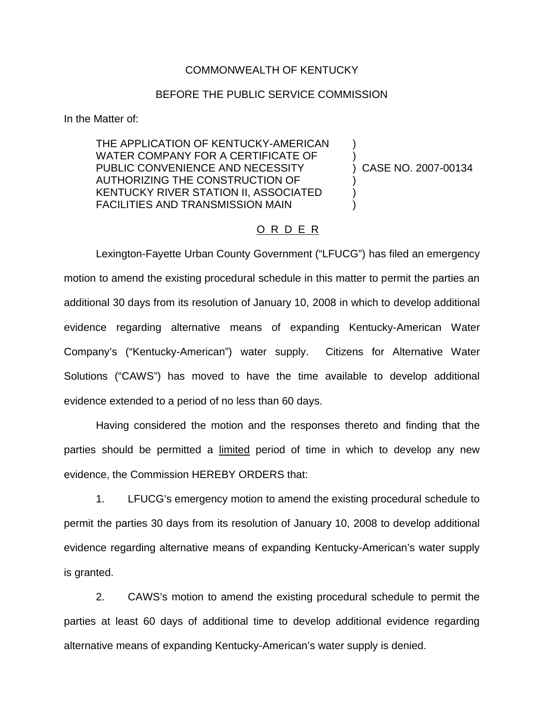## COMMONWEALTH OF KENTUCKY

## BEFORE THE PUBLIC SERVICE COMMISSION

In the Matter of:

THE APPLICATION OF KENTUCKY-AMERICAN WATER COMPANY FOR A CERTIFICATE OF PUBLIC CONVENIENCE AND NECESSITY AUTHORIZING THE CONSTRUCTION OF KENTUCKY RIVER STATION II, ASSOCIATED FACILITIES AND TRANSMISSION MAIN

) CASE NO. 2007-00134

) )

) ) )

## O R D E R

Lexington-Fayette Urban County Government ("LFUCG") has filed an emergency motion to amend the existing procedural schedule in this matter to permit the parties an additional 30 days from its resolution of January 10, 2008 in which to develop additional evidence regarding alternative means of expanding Kentucky-American Water Company's ("Kentucky-American") water supply. Citizens for Alternative Water Solutions ("CAWS") has moved to have the time available to develop additional evidence extended to a period of no less than 60 days.

Having considered the motion and the responses thereto and finding that the parties should be permitted a limited period of time in which to develop any new evidence, the Commission HEREBY ORDERS that:

1. LFUCG's emergency motion to amend the existing procedural schedule to permit the parties 30 days from its resolution of January 10, 2008 to develop additional evidence regarding alternative means of expanding Kentucky-American's water supply is granted.

2. CAWS's motion to amend the existing procedural schedule to permit the parties at least 60 days of additional time to develop additional evidence regarding alternative means of expanding Kentucky-American's water supply is denied.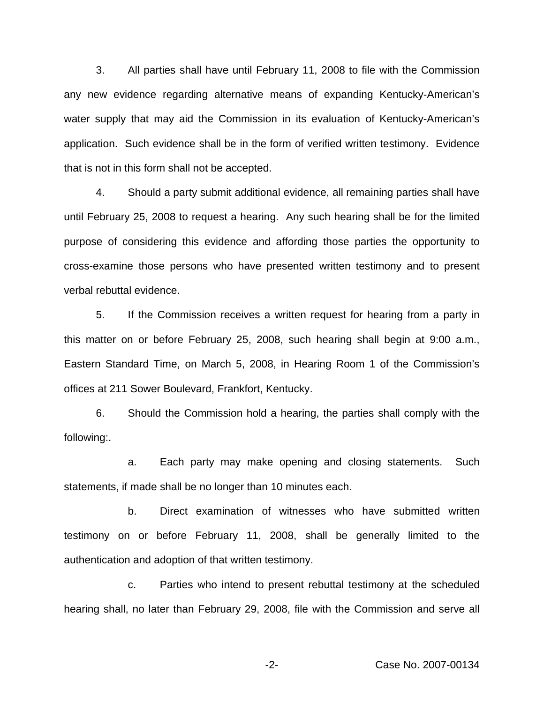3. All parties shall have until February 11, 2008 to file with the Commission any new evidence regarding alternative means of expanding Kentucky-American's water supply that may aid the Commission in its evaluation of Kentucky-American's application. Such evidence shall be in the form of verified written testimony. Evidence that is not in this form shall not be accepted.

4. Should a party submit additional evidence, all remaining parties shall have until February 25, 2008 to request a hearing. Any such hearing shall be for the limited purpose of considering this evidence and affording those parties the opportunity to cross-examine those persons who have presented written testimony and to present verbal rebuttal evidence.

5. If the Commission receives a written request for hearing from a party in this matter on or before February 25, 2008, such hearing shall begin at 9:00 a.m., Eastern Standard Time, on March 5, 2008, in Hearing Room 1 of the Commission's offices at 211 Sower Boulevard, Frankfort, Kentucky.

6. Should the Commission hold a hearing, the parties shall comply with the following:.

a. Each party may make opening and closing statements. Such statements, if made shall be no longer than 10 minutes each.

b. Direct examination of witnesses who have submitted written testimony on or before February 11, 2008, shall be generally limited to the authentication and adoption of that written testimony.

c. Parties who intend to present rebuttal testimony at the scheduled hearing shall, no later than February 29, 2008, file with the Commission and serve all

-2- Case No. 2007-00134